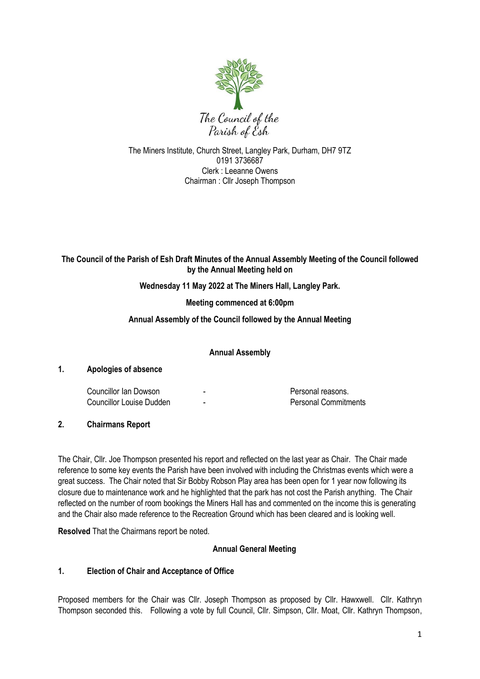

The Miners Institute, Church Street, Langley Park, Durham, DH7 9TZ 0191 3736687 Clerk : Leeanne Owens Chairman : Cllr Joseph Thompson

### **The Council of the Parish of Esh Draft Minutes of the Annual Assembly Meeting of the Council followed by the Annual Meeting held on**

### **Wednesday 11 May 2022 at The Miners Hall, Langley Park.**

**Meeting commenced at 6:00pm**

#### **Annual Assembly of the Council followed by the Annual Meeting**

**Annual Assembly**

### **1. Apologies of absence**

Councillor Ian Dowson **-** Personal reasons. Councillor Louise Dudden - Personal Commitments

**2. Chairmans Report**

The Chair, Cllr. Joe Thompson presented his report and reflected on the last year as Chair. The Chair made reference to some key events the Parish have been involved with including the Christmas events which were a great success. The Chair noted that Sir Bobby Robson Play area has been open for 1 year now following its closure due to maintenance work and he highlighted that the park has not cost the Parish anything. The Chair reflected on the number of room bookings the Miners Hall has and commented on the income this is generating and the Chair also made reference to the Recreation Ground which has been cleared and is looking well.

**Resolved** That the Chairmans report be noted.

### **Annual General Meeting**

### **1. Election of Chair and Acceptance of Office**

Proposed members for the Chair was Cllr. Joseph Thompson as proposed by Cllr. Hawxwell. Cllr. Kathryn Thompson seconded this. Following a vote by full Council, Cllr. Simpson, Cllr. Moat, Cllr. Kathryn Thompson,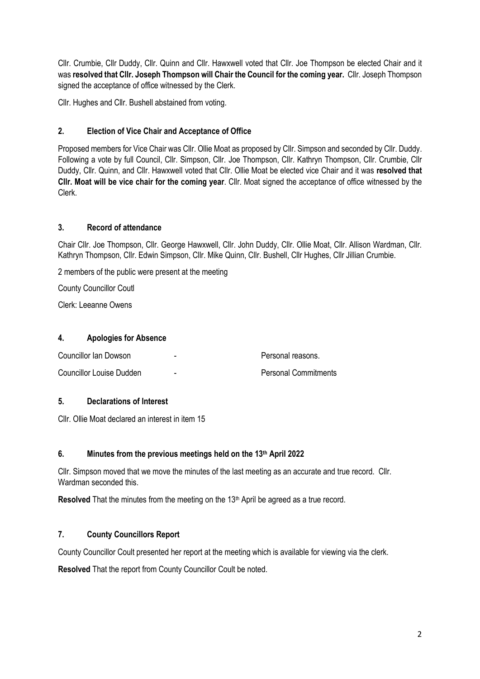Cllr. Crumbie, Cllr Duddy, Cllr. Quinn and Cllr. Hawxwell voted that Cllr. Joe Thompson be elected Chair and it was **resolved that Cllr. Joseph Thompson will Chair the Council for the coming year.** Cllr. Joseph Thompson signed the acceptance of office witnessed by the Clerk.

Cllr. Hughes and Cllr. Bushell abstained from voting.

## **2. Election of Vice Chair and Acceptance of Office**

Proposed members for Vice Chair was Cllr. Ollie Moat as proposed by Cllr. Simpson and seconded by Cllr. Duddy. Following a vote by full Council, Cllr. Simpson, Cllr. Joe Thompson, Cllr. Kathryn Thompson, Cllr. Crumbie, Cllr Duddy, Cllr. Quinn, and Cllr. Hawxwell voted that Cllr. Ollie Moat be elected vice Chair and it was **resolved that Cllr. Moat will be vice chair for the coming year**. Cllr. Moat signed the acceptance of office witnessed by the Clerk.

### **3. Record of attendance**

Chair Cllr. Joe Thompson, Cllr. George Hawxwell, Cllr. John Duddy, Cllr. Ollie Moat, Cllr. Allison Wardman, Cllr. Kathryn Thompson, Cllr. Edwin Simpson, Cllr. Mike Quinn, Cllr. Bushell, Cllr Hughes, Cllr Jillian Crumbie.

2 members of the public were present at the meeting

County Councillor Coutl

Clerk: Leeanne Owens

### **4. Apologies for Absence**

| Councillor Ian Dowson           | -                        | Personal reasons.           |
|---------------------------------|--------------------------|-----------------------------|
| <b>Councillor Louise Dudden</b> | $\overline{\phantom{0}}$ | <b>Personal Commitments</b> |

#### **5. Declarations of Interest**

Cllr. Ollie Moat declared an interest in item 15

#### **6. Minutes from the previous meetings held on the 13th April 2022**

Cllr. Simpson moved that we move the minutes of the last meeting as an accurate and true record. Cllr. Wardman seconded this.

**Resolved** That the minutes from the meeting on the 13<sup>th</sup> April be agreed as a true record.

# **7. County Councillors Report**

County Councillor Coult presented her report at the meeting which is available for viewing via the clerk.

**Resolved** That the report from County Councillor Coult be noted.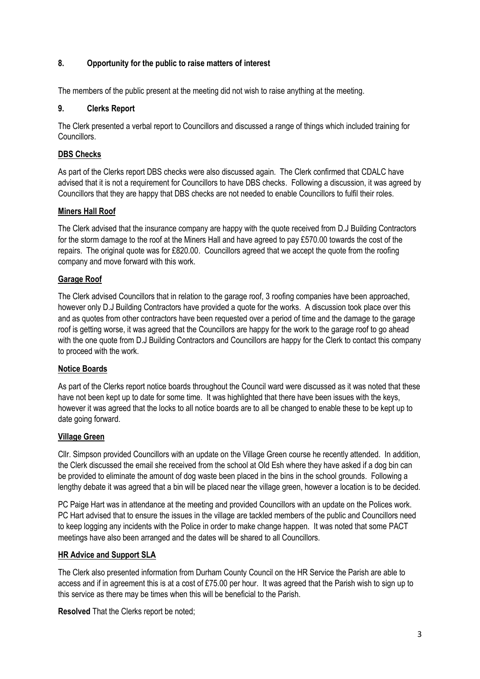### **8. Opportunity for the public to raise matters of interest**

The members of the public present at the meeting did not wish to raise anything at the meeting.

### **9. Clerks Report**

The Clerk presented a verbal report to Councillors and discussed a range of things which included training for Councillors.

### **DBS Checks**

As part of the Clerks report DBS checks were also discussed again. The Clerk confirmed that CDALC have advised that it is not a requirement for Councillors to have DBS checks. Following a discussion, it was agreed by Councillors that they are happy that DBS checks are not needed to enable Councillors to fulfil their roles.

### **Miners Hall Roof**

The Clerk advised that the insurance company are happy with the quote received from D.J Building Contractors for the storm damage to the roof at the Miners Hall and have agreed to pay £570.00 towards the cost of the repairs. The original quote was for £820.00. Councillors agreed that we accept the quote from the roofing company and move forward with this work.

### **Garage Roof**

The Clerk advised Councillors that in relation to the garage roof, 3 roofing companies have been approached, however only D.J Building Contractors have provided a quote for the works. A discussion took place over this and as quotes from other contractors have been requested over a period of time and the damage to the garage roof is getting worse, it was agreed that the Councillors are happy for the work to the garage roof to go ahead with the one quote from D.J Building Contractors and Councillors are happy for the Clerk to contact this company to proceed with the work.

#### **Notice Boards**

As part of the Clerks report notice boards throughout the Council ward were discussed as it was noted that these have not been kept up to date for some time. It was highlighted that there have been issues with the keys, however it was agreed that the locks to all notice boards are to all be changed to enable these to be kept up to date going forward.

#### **Village Green**

Cllr. Simpson provided Councillors with an update on the Village Green course he recently attended. In addition, the Clerk discussed the email she received from the school at Old Esh where they have asked if a dog bin can be provided to eliminate the amount of dog waste been placed in the bins in the school grounds. Following a lengthy debate it was agreed that a bin will be placed near the village green, however a location is to be decided.

PC Paige Hart was in attendance at the meeting and provided Councillors with an update on the Polices work. PC Hart advised that to ensure the issues in the village are tackled members of the public and Councillors need to keep logging any incidents with the Police in order to make change happen. It was noted that some PACT meetings have also been arranged and the dates will be shared to all Councillors.

### **HR Advice and Support SLA**

The Clerk also presented information from Durham County Council on the HR Service the Parish are able to access and if in agreement this is at a cost of £75.00 per hour. It was agreed that the Parish wish to sign up to this service as there may be times when this will be beneficial to the Parish.

**Resolved** That the Clerks report be noted;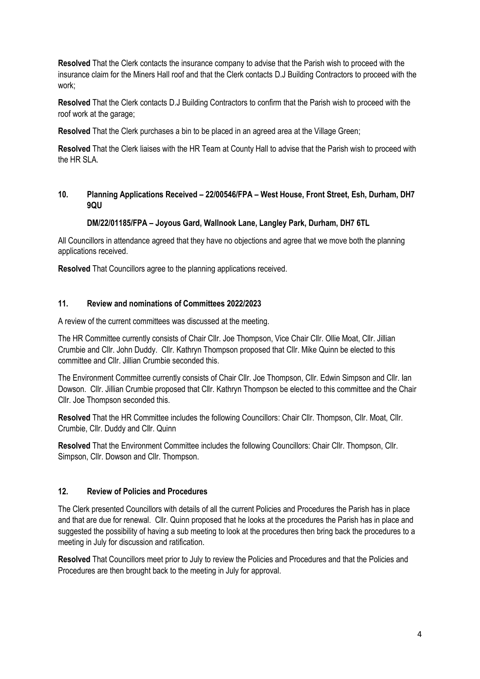**Resolved** That the Clerk contacts the insurance company to advise that the Parish wish to proceed with the insurance claim for the Miners Hall roof and that the Clerk contacts D.J Building Contractors to proceed with the work;

**Resolved** That the Clerk contacts D.J Building Contractors to confirm that the Parish wish to proceed with the roof work at the garage;

**Resolved** That the Clerk purchases a bin to be placed in an agreed area at the Village Green;

**Resolved** That the Clerk liaises with the HR Team at County Hall to advise that the Parish wish to proceed with the HR SLA

### **10. Planning Applications Received – 22/00546/FPA – West House, Front Street, Esh, Durham, DH7 9QU**

#### **DM/22/01185/FPA – Joyous Gard, Wallnook Lane, Langley Park, Durham, DH7 6TL**

All Councillors in attendance agreed that they have no objections and agree that we move both the planning applications received.

**Resolved** That Councillors agree to the planning applications received.

#### **11. Review and nominations of Committees 2022/2023**

A review of the current committees was discussed at the meeting.

The HR Committee currently consists of Chair Cllr. Joe Thompson, Vice Chair Cllr. Ollie Moat, Cllr. Jillian Crumbie and Cllr. John Duddy. Cllr. Kathryn Thompson proposed that Cllr. Mike Quinn be elected to this committee and Cllr. Jillian Crumbie seconded this.

The Environment Committee currently consists of Chair Cllr. Joe Thompson, Cllr. Edwin Simpson and Cllr. Ian Dowson. Cllr. Jillian Crumbie proposed that Cllr. Kathryn Thompson be elected to this committee and the Chair Cllr. Joe Thompson seconded this.

**Resolved** That the HR Committee includes the following Councillors: Chair Cllr. Thompson, Cllr. Moat, Cllr. Crumbie, Cllr. Duddy and Cllr. Quinn

**Resolved** That the Environment Committee includes the following Councillors: Chair Cllr. Thompson, Cllr. Simpson, Cllr. Dowson and Cllr. Thompson.

#### **12. Review of Policies and Procedures**

The Clerk presented Councillors with details of all the current Policies and Procedures the Parish has in place and that are due for renewal. Cllr. Quinn proposed that he looks at the procedures the Parish has in place and suggested the possibility of having a sub meeting to look at the procedures then bring back the procedures to a meeting in July for discussion and ratification.

**Resolved** That Councillors meet prior to July to review the Policies and Procedures and that the Policies and Procedures are then brought back to the meeting in July for approval.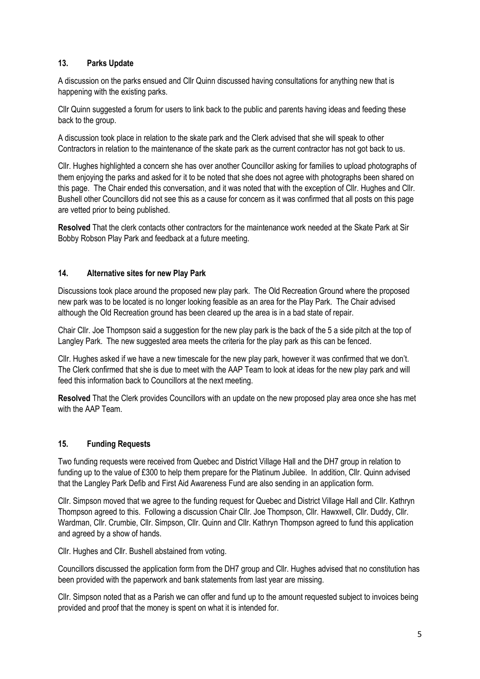### **13. Parks Update**

A discussion on the parks ensued and Cllr Quinn discussed having consultations for anything new that is happening with the existing parks.

Cllr Quinn suggested a forum for users to link back to the public and parents having ideas and feeding these back to the group.

A discussion took place in relation to the skate park and the Clerk advised that she will speak to other Contractors in relation to the maintenance of the skate park as the current contractor has not got back to us.

Cllr. Hughes highlighted a concern she has over another Councillor asking for families to upload photographs of them enjoying the parks and asked for it to be noted that she does not agree with photographs been shared on this page. The Chair ended this conversation, and it was noted that with the exception of Cllr. Hughes and Cllr. Bushell other Councillors did not see this as a cause for concern as it was confirmed that all posts on this page are vetted prior to being published.

**Resolved** That the clerk contacts other contractors for the maintenance work needed at the Skate Park at Sir Bobby Robson Play Park and feedback at a future meeting.

#### **14. Alternative sites for new Play Park**

Discussions took place around the proposed new play park. The Old Recreation Ground where the proposed new park was to be located is no longer looking feasible as an area for the Play Park. The Chair advised although the Old Recreation ground has been cleared up the area is in a bad state of repair.

Chair Cllr. Joe Thompson said a suggestion for the new play park is the back of the 5 a side pitch at the top of Langley Park. The new suggested area meets the criteria for the play park as this can be fenced.

Cllr. Hughes asked if we have a new timescale for the new play park, however it was confirmed that we don't. The Clerk confirmed that she is due to meet with the AAP Team to look at ideas for the new play park and will feed this information back to Councillors at the next meeting.

**Resolved** That the Clerk provides Councillors with an update on the new proposed play area once she has met with the AAP Team.

#### **15. Funding Requests**

Two funding requests were received from Quebec and District Village Hall and the DH7 group in relation to funding up to the value of £300 to help them prepare for the Platinum Jubilee. In addition, Cllr. Quinn advised that the Langley Park Defib and First Aid Awareness Fund are also sending in an application form.

Cllr. Simpson moved that we agree to the funding request for Quebec and District Village Hall and Cllr. Kathryn Thompson agreed to this. Following a discussion Chair Cllr. Joe Thompson, Cllr. Hawxwell, Cllr. Duddy, Cllr. Wardman, Cllr. Crumbie, Cllr. Simpson, Cllr. Quinn and Cllr. Kathryn Thompson agreed to fund this application and agreed by a show of hands.

Cllr. Hughes and Cllr. Bushell abstained from voting.

Councillors discussed the application form from the DH7 group and Cllr. Hughes advised that no constitution has been provided with the paperwork and bank statements from last year are missing.

Cllr. Simpson noted that as a Parish we can offer and fund up to the amount requested subject to invoices being provided and proof that the money is spent on what it is intended for.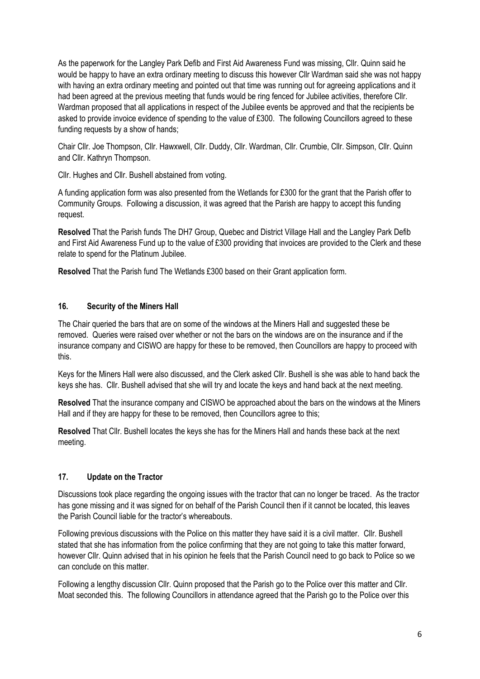As the paperwork for the Langley Park Defib and First Aid Awareness Fund was missing, Cllr. Quinn said he would be happy to have an extra ordinary meeting to discuss this however Cllr Wardman said she was not happy with having an extra ordinary meeting and pointed out that time was running out for agreeing applications and it had been agreed at the previous meeting that funds would be ring fenced for Jubilee activities, therefore Cllr. Wardman proposed that all applications in respect of the Jubilee events be approved and that the recipients be asked to provide invoice evidence of spending to the value of £300. The following Councillors agreed to these funding requests by a show of hands;

Chair Cllr. Joe Thompson, Cllr. Hawxwell, Cllr. Duddy, Cllr. Wardman, Cllr. Crumbie, Cllr. Simpson, Cllr. Quinn and Cllr. Kathryn Thompson.

Cllr. Hughes and Cllr. Bushell abstained from voting.

A funding application form was also presented from the Wetlands for £300 for the grant that the Parish offer to Community Groups. Following a discussion, it was agreed that the Parish are happy to accept this funding request.

**Resolved** That the Parish funds The DH7 Group, Quebec and District Village Hall and the Langley Park Defib and First Aid Awareness Fund up to the value of £300 providing that invoices are provided to the Clerk and these relate to spend for the Platinum Jubilee.

**Resolved** That the Parish fund The Wetlands £300 based on their Grant application form.

### **16. Security of the Miners Hall**

The Chair queried the bars that are on some of the windows at the Miners Hall and suggested these be removed. Queries were raised over whether or not the bars on the windows are on the insurance and if the insurance company and CISWO are happy for these to be removed, then Councillors are happy to proceed with this.

Keys for the Miners Hall were also discussed, and the Clerk asked Cllr. Bushell is she was able to hand back the keys she has. Cllr. Bushell advised that she will try and locate the keys and hand back at the next meeting.

**Resolved** That the insurance company and CISWO be approached about the bars on the windows at the Miners Hall and if they are happy for these to be removed, then Councillors agree to this;

**Resolved** That Cllr. Bushell locates the keys she has for the Miners Hall and hands these back at the next meeting.

#### **17. Update on the Tractor**

Discussions took place regarding the ongoing issues with the tractor that can no longer be traced. As the tractor has gone missing and it was signed for on behalf of the Parish Council then if it cannot be located, this leaves the Parish Council liable for the tractor's whereabouts.

Following previous discussions with the Police on this matter they have said it is a civil matter. Cllr. Bushell stated that she has information from the police confirming that they are not going to take this matter forward, however Cllr. Quinn advised that in his opinion he feels that the Parish Council need to go back to Police so we can conclude on this matter.

Following a lengthy discussion Cllr. Quinn proposed that the Parish go to the Police over this matter and Cllr. Moat seconded this. The following Councillors in attendance agreed that the Parish go to the Police over this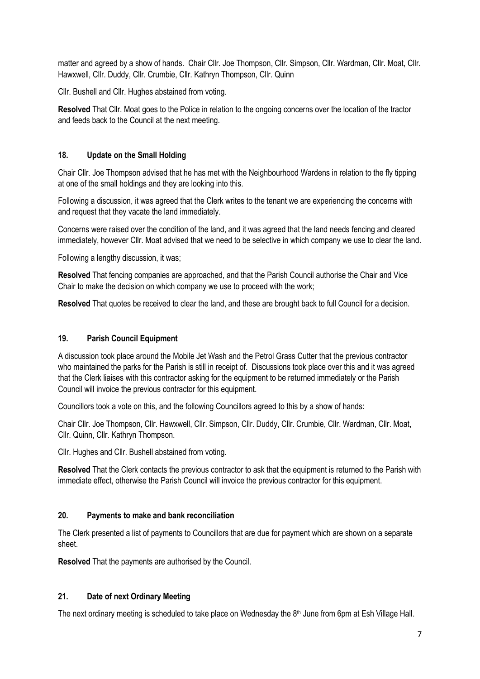matter and agreed by a show of hands. Chair Cllr. Joe Thompson, Cllr. Simpson, Cllr. Wardman, Cllr. Moat, Cllr. Hawxwell, Cllr. Duddy, Cllr. Crumbie, Cllr. Kathryn Thompson, Cllr. Quinn

Cllr. Bushell and Cllr. Hughes abstained from voting.

**Resolved** That Cllr. Moat goes to the Police in relation to the ongoing concerns over the location of the tractor and feeds back to the Council at the next meeting.

#### **18. Update on the Small Holding**

Chair Cllr. Joe Thompson advised that he has met with the Neighbourhood Wardens in relation to the fly tipping at one of the small holdings and they are looking into this.

Following a discussion, it was agreed that the Clerk writes to the tenant we are experiencing the concerns with and request that they vacate the land immediately.

Concerns were raised over the condition of the land, and it was agreed that the land needs fencing and cleared immediately, however Cllr. Moat advised that we need to be selective in which company we use to clear the land.

Following a lengthy discussion, it was;

**Resolved** That fencing companies are approached, and that the Parish Council authorise the Chair and Vice Chair to make the decision on which company we use to proceed with the work;

**Resolved** That quotes be received to clear the land, and these are brought back to full Council for a decision.

#### **19. Parish Council Equipment**

A discussion took place around the Mobile Jet Wash and the Petrol Grass Cutter that the previous contractor who maintained the parks for the Parish is still in receipt of. Discussions took place over this and it was agreed that the Clerk liaises with this contractor asking for the equipment to be returned immediately or the Parish Council will invoice the previous contractor for this equipment.

Councillors took a vote on this, and the following Councillors agreed to this by a show of hands:

Chair Cllr. Joe Thompson, Cllr. Hawxwell, Cllr. Simpson, Cllr. Duddy, Cllr. Crumbie, Cllr. Wardman, Cllr. Moat, Cllr. Quinn, Cllr. Kathryn Thompson.

Cllr. Hughes and Cllr. Bushell abstained from voting.

**Resolved** That the Clerk contacts the previous contractor to ask that the equipment is returned to the Parish with immediate effect, otherwise the Parish Council will invoice the previous contractor for this equipment.

### **20. Payments to make and bank reconciliation**

The Clerk presented a list of payments to Councillors that are due for payment which are shown on a separate sheet.

**Resolved** That the payments are authorised by the Council.

### **21. Date of next Ordinary Meeting**

The next ordinary meeting is scheduled to take place on Wednesday the 8<sup>th</sup> June from 6pm at Esh Village Hall.